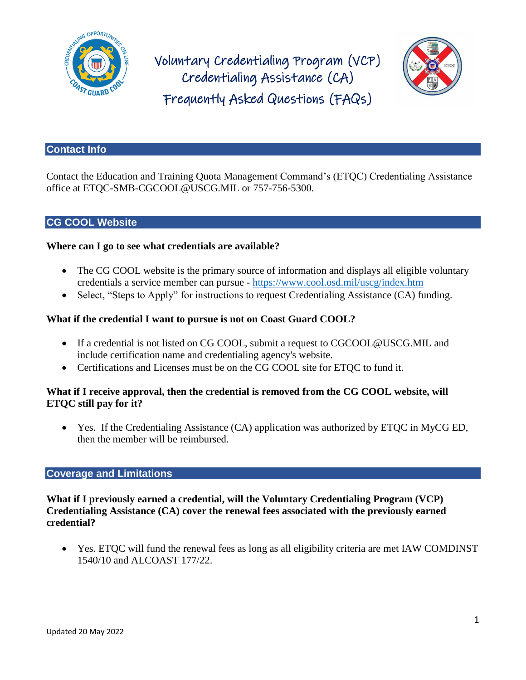

Voluntary Credentialing Program (VCP) Credentialing Assistance (CA) Frequently Asked Questions (FAQs)



#### **Contact Info**

Contact the Education and Training Quota Management Command's (ETQC) Credentialing Assistance office at [ETQC-SMB-CGCOOL@USCG.MIL](mailto:ETQC-SMB-CGCOOL@USCG.MIL) or 757-756-5300.

### **CG COOL Website**

#### **Where can I go to see what credentials are available?**

- The CG COOL website is the primary source of information and displays all eligible voluntary credentials a service member can pursue - <https://www.cool.osd.mil/uscg/index.htm>
- Select, "Steps to Apply" for instructions to request Credentialing Assistance (CA) funding.

### **What if the credential I want to pursue is not on Coast Guard COOL?**

- If a credential is not listed on CG COOL, submit a request to CGCOOL@USCG.MIL and include certification name and credentialing agency's website.
- Certifications and Licenses must be on the CG COOL site for ETQC to fund it.

### **What if I receive approval, then the credential is removed from the CG COOL website, will ETQC still pay for it?**

 Yes. If the Credentialing Assistance (CA) application was authorized by ETQC in MyCG ED, then the member will be reimbursed.

#### **Coverage and Limitations**

**What if I previously earned a credential, will the Voluntary Credentialing Program (VCP) Credentialing Assistance (CA) cover the renewal fees associated with the previously earned credential?**

 Yes. ETQC will fund the renewal fees as long as all eligibility criteria are met IAW COMDINST 1540/10 and ALCOAST 177/22.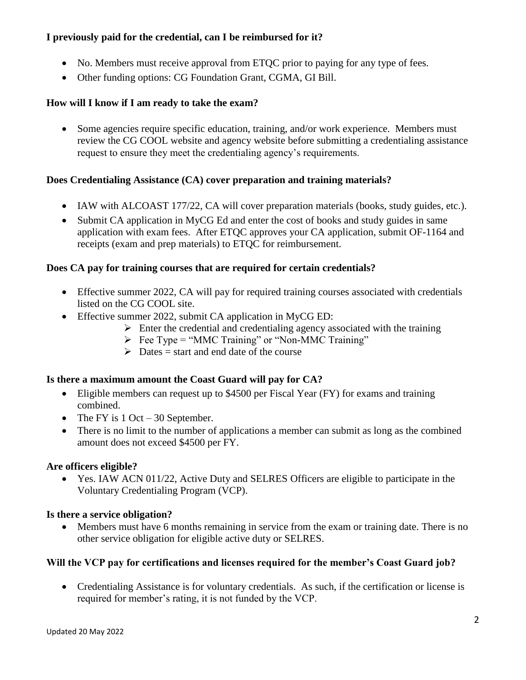# **I previously paid for the credential, can I be reimbursed for it?**

- No. Members must receive approval from ETQC prior to paying for any type of fees.
- Other funding options: CG Foundation Grant, CGMA, GI Bill.

## **How will I know if I am ready to take the exam?**

• Some agencies require specific education, training, and/or work experience. Members must review the CG COOL website and agency website before submitting a credentialing assistance request to ensure they meet the credentialing agency's requirements.

# **Does Credentialing Assistance (CA) cover preparation and training materials?**

- IAW with ALCOAST 177/22, CA will cover preparation materials (books, study guides, etc.).
- Submit CA application in MyCG Ed and enter the cost of books and study guides in same application with exam fees. After ETQC approves your CA application, submit OF-1164 and receipts (exam and prep materials) to ETQC for reimbursement.

## **Does CA pay for training courses that are required for certain credentials?**

- Effective summer 2022, CA will pay for required training courses associated with credentials listed on the CG COOL site.
- Effective summer 2022, submit CA application in MyCG ED:
	- $\triangleright$  Enter the credential and credentialing agency associated with the training
	- $\triangleright$  Fee Type = "MMC Training" or "Non-MMC Training"
	- $\triangleright$  Dates = start and end date of the course

## **Is there a maximum amount the Coast Guard will pay for CA?**

- Eligible members can request up to \$4500 per Fiscal Year (FY) for exams and training combined.
- The FY is  $1 \text{ Oct} 30$  September.
- There is no limit to the number of applications a member can submit as long as the combined amount does not exceed \$4500 per FY.

## **Are officers eligible?**

 Yes. IAW ACN 011/22, Active Duty and SELRES Officers are eligible to participate in the Voluntary Credentialing Program (VCP).

## **Is there a service obligation?**

• Members must have 6 months remaining in service from the exam or training date. There is no other service obligation for eligible active duty or SELRES.

## **Will the VCP pay for certifications and licenses required for the member's Coast Guard job?**

• Credentialing Assistance is for voluntary credentials. As such, if the certification or license is required for member's rating, it is not funded by the VCP.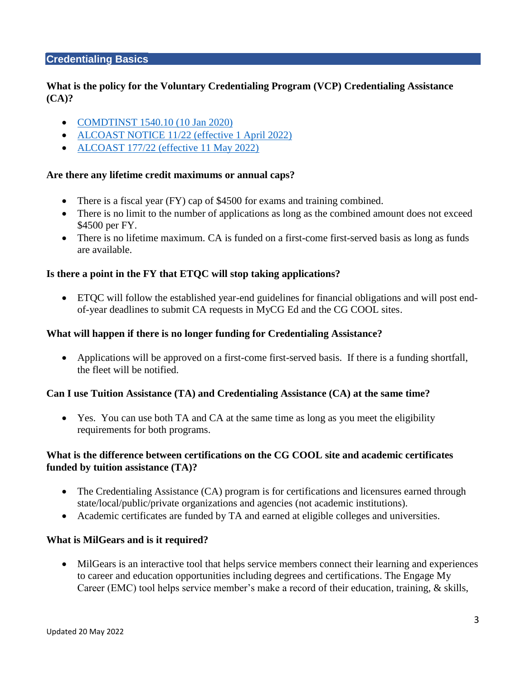### **Credentialing Basics**

## **What is the policy for the Voluntary Credentialing Program (VCP) Credentialing Assistance (CA)?**

- [COMDTINST 1540.10 \(10 Jan 2020\)](https://media.defense.gov/2020/Jan/13/2002233571/-1/-1/0/CI_1540_10.PDF)
- [ALCOAST NOTICE 11/22 \(effective 1 April 2022\)](https://www.forcecom.uscg.mil/Portals/3/Documents/ETQC/CG%20COOL/ACN%20011_22.pdf?ver=h1ArAIRhHf-LMI3MYHZoGQ%3d%3d)
- [ALCOAST 177/22 \(effective 11 May 2022\)](https://www.forcecom.uscg.mil/Portals/3/Documents/ETQC/CG%20COOL/ALCOAST%20177_22%20(May%202022).pdf?ver=HJc7_iZKgxpf5CeA3QavzA%3d%3d)

#### **Are there any lifetime credit maximums or annual caps?**

- There is a fiscal year (FY) cap of \$4500 for exams and training combined.
- There is no limit to the number of applications as long as the combined amount does not exceed \$4500 per FY.
- There is no lifetime maximum. CA is funded on a first-come first-served basis as long as funds are available.

#### **Is there a point in the FY that ETQC will stop taking applications?**

 ETQC will follow the established year-end guidelines for financial obligations and will post endof-year deadlines to submit CA requests in MyCG Ed and the CG COOL sites.

#### **What will happen if there is no longer funding for Credentialing Assistance?**

 Applications will be approved on a first-come first-served basis. If there is a funding shortfall, the fleet will be notified.

#### **Can I use Tuition Assistance (TA) and Credentialing Assistance (CA) at the same time?**

 Yes. You can use both TA and CA at the same time as long as you meet the eligibility requirements for both programs.

### **What is the difference between certifications on the CG COOL site and academic certificates funded by tuition assistance (TA)?**

- The Credentialing Assistance (CA) program is for certifications and licensures earned through state/local/public/private organizations and agencies (not academic institutions).
- Academic certificates are funded by TA and earned at eligible colleges and universities.

#### **What is MilGears and is it required?**

 MilGears is an interactive tool that helps service members connect their learning and experiences to career and education opportunities including degrees and certifications. The Engage My Career (EMC) tool helps service member's make a record of their education, training, & skills,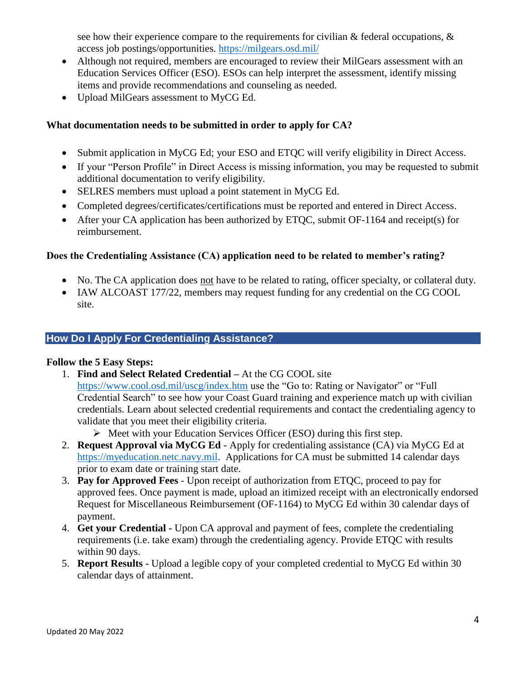see how their experience compare to the requirements for civilian  $\&$  federal occupations,  $\&$ access job postings/opportunities.<https://milgears.osd.mil/>

- Although not required, members are encouraged to review their MilGears assessment with an Education Services Officer (ESO). ESOs can help interpret the assessment, identify missing items and provide recommendations and counseling as needed.
- Upload MilGears assessment to MyCG Ed.

## **What documentation needs to be submitted in order to apply for CA?**

- Submit application in MyCG Ed; your ESO and ETOC will verify eligibility in Direct Access.
- If your "Person Profile" in Direct Access is missing information, you may be requested to submit additional documentation to verify eligibility.
- SELRES members must upload a point statement in MyCG Ed.
- Completed degrees/certificates/certifications must be reported and entered in Direct Access.
- After your CA application has been authorized by ETQC, submit  $OF-1164$  and receipt(s) for reimbursement.

# **Does the Credentialing Assistance (CA) application need to be related to member's rating?**

- No. The CA application does not have to be related to rating, officer specialty, or collateral duty.
- IAW ALCOAST 177/22, members may request funding for any credential on the CG COOL site.

# **How Do I Apply For Credentialing Assistance?**

#### **Follow the 5 Easy Steps:**

- 1. **Find and Select Related Credential –** At the CG COOL site <https://www.cool.osd.mil/uscg/index.htm> use the "Go to: Rating or Navigator" or "Full Credential Search" to see how your Coast Guard training and experience match up with civilian credentials. Learn about selected credential requirements and contact the credentialing agency to validate that you meet their eligibility criteria.
	- $\triangleright$  Meet with your Education Services Officer (ESO) during this first step.
- 2. **Request Approval via MyCG Ed** Apply for credentialing assistance (CA) via MyCG Ed at [https://myeducation.netc.navy.mil.](https://myeducation.netc.navy.mil/) Applications for CA must be submitted 14 calendar days prior to exam date or training start date.
- 3. **Pay for Approved Fees** Upon receipt of authorization from ETQC, proceed to pay for approved fees. Once payment is made, upload an itimized receipt with an electronically endorsed Request for Miscellaneous Reimbursement (OF-1164) to MyCG Ed within 30 calendar days of payment.
- 4. **Get your Credential -** Upon CA approval and payment of fees, complete the credentialing requirements (i.e. take exam) through the credentialing agency. Provide ETQC with results within 90 days.
- 5. **Report Results -** Upload a legible copy of your completed credential to MyCG Ed within 30 calendar days of attainment.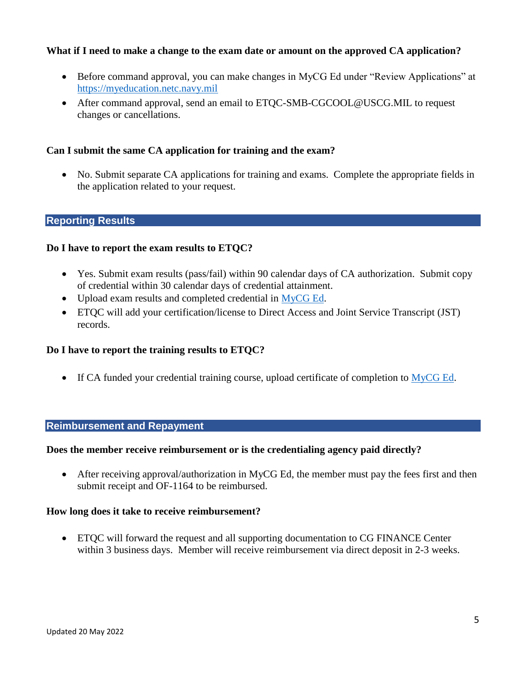### **What if I need to make a change to the exam date or amount on the approved CA application?**

- Before command approval, you can make changes in MyCG Ed under "Review Applications" at [https://myeducation.netc.navy.mil](https://myeducation.netc.navy.mil/)
- After command approval, send an email to [ETQC-SMB-CGCOOL@USCG.MIL](mailto:ETQC-SMB-CGCOOL@USCG.MIL) to request changes or cancellations.

### **Can I submit the same CA application for training and the exam?**

• No. Submit separate CA applications for training and exams. Complete the appropriate fields in the application related to your request.

#### **Reporting Results**

#### **Do I have to report the exam results to ETQC?**

- Yes. Submit exam results (pass/fail) within 90 calendar days of CA authorization. Submit copy of credential within 30 calendar days of credential attainment.
- Upload exam results and completed credential in [MyCG Ed.](https://myeducation.netc.navy.mil/)
- ETQC will add your certification/license to Direct Access and Joint Service Transcript (JST) records.

#### **Do I have to report the training results to ETQC?**

If CA funded your credential training course, upload certificate of completion to  $MyCG$  Ed.

#### **Reimbursement and Repayment**

#### **Does the member receive reimbursement or is the credentialing agency paid directly?**

 After receiving approval/authorization in MyCG Ed, the member must pay the fees first and then submit receipt and OF-1164 to be reimbursed.

#### **How long does it take to receive reimbursement?**

 ETQC will forward the request and all supporting documentation to CG FINANCE Center within 3 business days. Member will receive reimbursement via direct deposit in 2-3 weeks.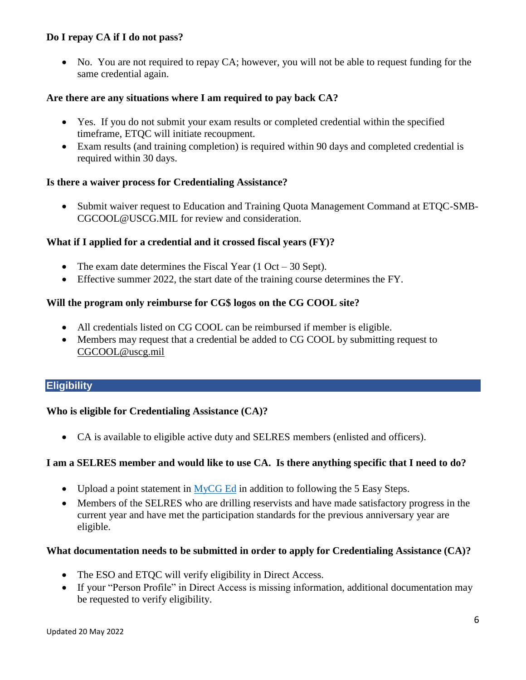## **Do I repay CA if I do not pass?**

• No. You are not required to repay CA; however, you will not be able to request funding for the same credential again.

### **Are there are any situations where I am required to pay back CA?**

- Yes. If you do not submit your exam results or completed credential within the specified timeframe, ETQC will initiate recoupment.
- Exam results (and training completion) is required within 90 days and completed credential is required within 30 days.

#### **Is there a waiver process for Credentialing Assistance?**

• Submit waiver request to Education and Training Quota Management Command at ETQC-SMB-CGCOOL@USCG.MIL for review and consideration.

### **What if I applied for a credential and it crossed fiscal years (FY)?**

- The exam date determines the Fiscal Year  $(1 \text{ Oct} 30 \text{ Sept})$ .
- Effective summer 2022, the start date of the training course determines the FY.

### **Will the program only reimburse for CG\$ logos on the CG COOL site?**

- All credentials listed on CG COOL can be reimbursed if member is eligible.
- Members may request that a credential be added to CG COOL by submitting request to [CGCOOL@uscg.mil](mailto:CGCOOL@uscg.mil)

## **Eligibility**

## **Who is eligible for Credentialing Assistance (CA)?**

CA is available to eligible active duty and SELRES members (enlisted and officers).

## **I am a SELRES member and would like to use CA. Is there anything specific that I need to do?**

- Upload a point statement in [MyCG Ed](https://myeducation.netc.navy.mil/) in addition to following the 5 Easy Steps.
- Members of the SELRES who are drilling reservists and have made satisfactory progress in the current year and have met the participation standards for the previous anniversary year are eligible.

#### **What documentation needs to be submitted in order to apply for Credentialing Assistance (CA)?**

- The ESO and ETQC will verify eligibility in Direct Access.
- If your "Person Profile" in Direct Access is missing information, additional documentation may be requested to verify eligibility.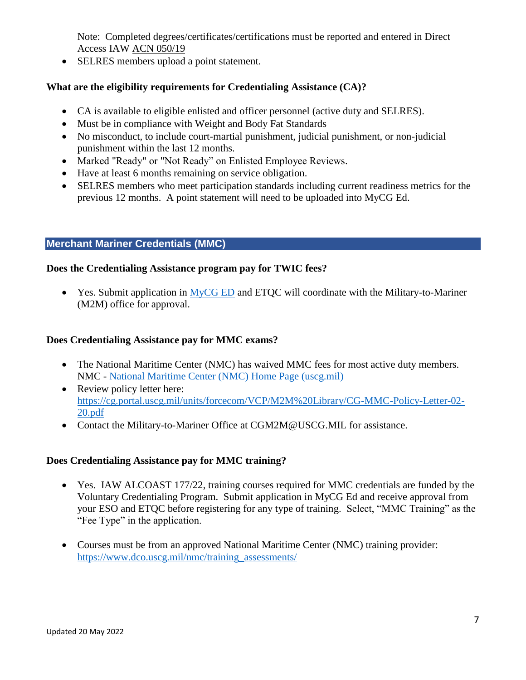Note: Completed degrees/certificates/certifications must be reported and entered in Direct Access IAW [ACN 050/19](https://cg.portal.uscg.mil/library/generalmessages/General%20Messages/GENMSG2019/ALCOAST%20COMDT%20NOTICE%20(ACN)/050-19_ACN.txt)

• SELRES members upload a point statement.

# **What are the eligibility requirements for Credentialing Assistance (CA)?**

- CA is available to eligible enlisted and officer personnel (active duty and SELRES).
- Must be in compliance with Weight and Body Fat Standards
- No misconduct, to include court-martial punishment, judicial punishment, or non-judicial punishment within the last 12 months.
- Marked "Ready" or "Not Ready" on Enlisted Employee Reviews.
- Have at least 6 months remaining on service obligation.
- SELRES members who meet participation standards including current readiness metrics for the previous 12 months. A point statement will need to be uploaded into MyCG Ed.

# **Merchant Mariner Credentials (MMC)**

## **Does the Credentialing Assistance program pay for TWIC fees?**

 $\bullet$  Yes. Submit application in  $MyCG ED$  and ETQC will coordinate with the Military-to-Mariner (M2M) office for approval.

## **Does Credentialing Assistance pay for MMC exams?**

- The National Maritime Center (NMC) has waived MMC fees for most active duty members. NMC - [National Maritime Center \(NMC\) Home Page \(uscg.mil\)](https://www.dco.uscg.mil/national_maritime_center/)
- Review policy letter here: [https://cg.portal.uscg.mil/units/forcecom/VCP/M2M%20Library/CG-MMC-Policy-Letter-02-](https://cg.portal.uscg.mil/units/forcecom/VCP/M2M%20Library/CG-MMC-Policy-Letter-02-20.pdf) [20.pdf](https://cg.portal.uscg.mil/units/forcecom/VCP/M2M%20Library/CG-MMC-Policy-Letter-02-20.pdf)
- Contact the Military-to-Mariner Office at [CGM2M@USCG.MIL](mailto:CGM2M@USCG.MIL) for assistance.

## **Does Credentialing Assistance pay for MMC training?**

- Yes. IAW ALCOAST 177/22, training courses required for MMC credentials are funded by the Voluntary Credentialing Program. Submit application in MyCG Ed and receive approval from your ESO and ETQC before registering for any type of training. Select, "MMC Training" as the "Fee Type" in the application.
- Courses must be from an approved National Maritime Center (NMC) training provider: [https://www.dco.uscg.mil/nmc/training\\_assessments/](https://www.dco.uscg.mil/nmc/training_assessments/)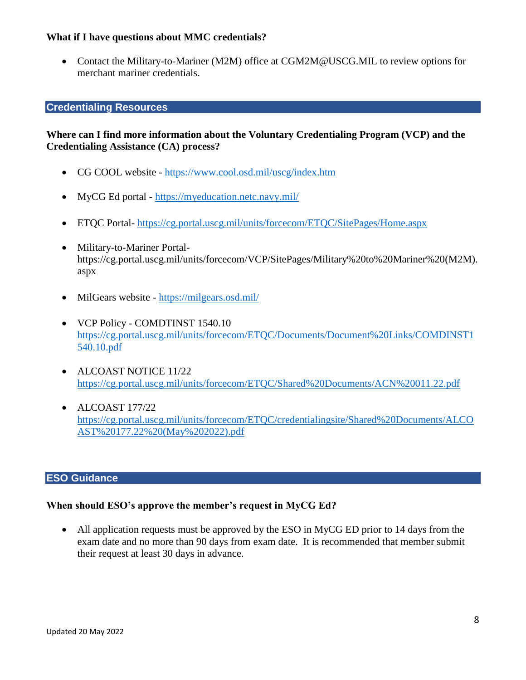### **What if I have questions about MMC credentials?**

 Contact the Military-to-Mariner (M2M) office at [CGM2M@USCG.MIL](mailto:CGM2M@USCG.MIL) to review options for merchant mariner credentials.

#### **Credentialing Resources**

## **Where can I find more information about the Voluntary Credentialing Program (VCP) and the Credentialing Assistance (CA) process?**

- [CG COOL website](https://www.cool.osd.mil/) <https://www.cool.osd.mil/uscg/index.htm>
- MyCG Ed portal <https://myeducation.netc.navy.mil/>
- ETQC Portal- <https://cg.portal.uscg.mil/units/forcecom/ETQC/SitePages/Home.aspx>
- Military-to-Mariner Portalhttps://cg.portal.uscg.mil/units/forcecom/VCP/SitePages/Military%20to%20Mariner%20(M2M). aspx
- MilGears website <https://milgears.osd.mil/>
- VCP Policy COMDTINST 1540.10 [https://cg.portal.uscg.mil/units/forcecom/ETQC/Documents/Document%20Links/COMDINST1](https://cg.portal.uscg.mil/units/forcecom/ETQC/Documents/Document%20Links/COMDINST1540.10.pdf) [540.10.pdf](https://cg.portal.uscg.mil/units/forcecom/ETQC/Documents/Document%20Links/COMDINST1540.10.pdf)
- ALCOAST NOTICE 11/22 <https://cg.portal.uscg.mil/units/forcecom/ETQC/Shared%20Documents/ACN%20011.22.pdf>
- $\bullet$  ALCOAST 177/22 [https://cg.portal.uscg.mil/units/forcecom/ETQC/credentialingsite/Shared%20Documents/ALCO](https://cg.portal.uscg.mil/units/forcecom/ETQC/credentialingsite/Shared%20Documents/ALCOAST%20177.22%20(May%202022).pdf) [AST%20177.22%20\(May%202022\).pdf](https://cg.portal.uscg.mil/units/forcecom/ETQC/credentialingsite/Shared%20Documents/ALCOAST%20177.22%20(May%202022).pdf)

### **ESO Guidance**

#### **When should ESO's approve the member's request in MyCG Ed?**

• All application requests must be approved by the ESO in MyCG ED prior to 14 days from the exam date and no more than 90 days from exam date. It is recommended that member submit their request at least 30 days in advance.